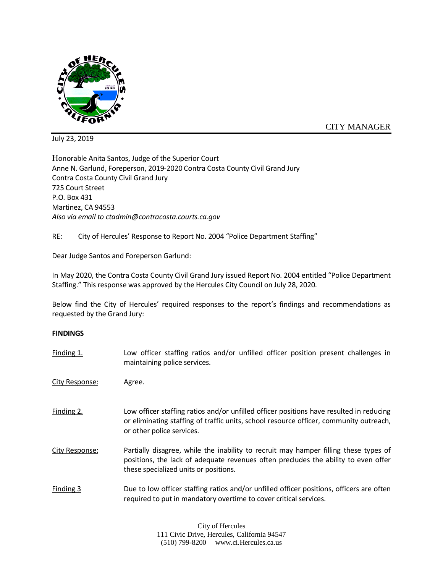

CITY MANAGER

July 23, 2019

Honorable Anita Santos, Judge of the Superior Court Anne N. Garlund, Foreperson, 2019-2020 Contra Costa County Civil Grand Jury Contra Costa County Civil Grand Jury 725 Court Street P.O. Box 431 Martinez, CA 94553 *Also via email to ctadmin@contracosta.courts.ca.gov*

RE: City of Hercules' Response to Report No. 2004 "Police Department Staffing"

Dear Judge Santos and Foreperson Garlund:

In May 2020, the Contra Costa County Civil Grand Jury issued Report No. 2004 entitled "Police Department Staffing." This response was approved by the Hercules City Council on July 28, 2020.

Below find the City of Hercules' required responses to the report's findings and recommendations as requested by the Grand Jury:

## **FINDINGS**

| Finding 1.     | Low officer staffing ratios and/or unfilled officer position present challenges in<br>maintaining police services.                                                                                                  |
|----------------|---------------------------------------------------------------------------------------------------------------------------------------------------------------------------------------------------------------------|
| City Response: | Agree.                                                                                                                                                                                                              |
| Finding 2.     | Low officer staffing ratios and/or unfilled officer positions have resulted in reducing<br>or eliminating staffing of traffic units, school resource officer, community outreach,<br>or other police services.      |
| City Response: | Partially disagree, while the inability to recruit may hamper filling these types of<br>positions, the lack of adequate revenues often precludes the ability to even offer<br>these specialized units or positions. |
| Finding 3      | Due to low officer staffing ratios and/or unfilled officer positions, officers are often<br>required to put in mandatory overtime to cover critical services.                                                       |

City of Hercules 111 Civic Drive, Hercules, California 94547 (510) 799-8200 www.ci.Hercules.ca.us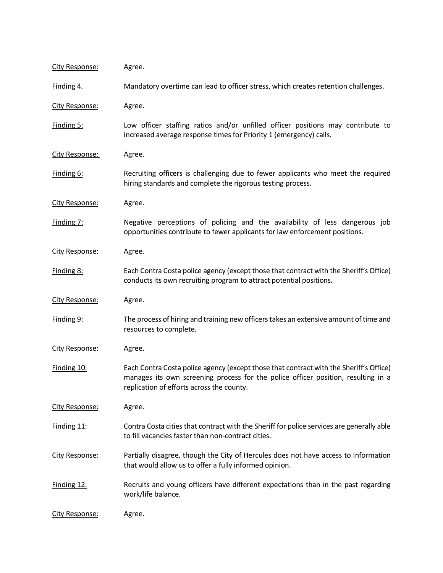| City Response:        | Agree.                                                                                                                                                                                                                   |
|-----------------------|--------------------------------------------------------------------------------------------------------------------------------------------------------------------------------------------------------------------------|
| Finding 4.            | Mandatory overtime can lead to officer stress, which creates retention challenges.                                                                                                                                       |
| <b>City Response:</b> | Agree.                                                                                                                                                                                                                   |
| Finding 5:            | Low officer staffing ratios and/or unfilled officer positions may contribute to<br>increased average response times for Priority 1 (emergency) calls.                                                                    |
| City Response:        | Agree.                                                                                                                                                                                                                   |
| Finding 6:            | Recruiting officers is challenging due to fewer applicants who meet the required<br>hiring standards and complete the rigorous testing process.                                                                          |
| City Response:        | Agree.                                                                                                                                                                                                                   |
| Finding 7:            | Negative perceptions of policing and the availability of less dangerous job<br>opportunities contribute to fewer applicants for law enforcement positions.                                                               |
| <b>City Response:</b> | Agree.                                                                                                                                                                                                                   |
| Finding 8:            | Each Contra Costa police agency (except those that contract with the Sheriff's Office)<br>conducts its own recruiting program to attract potential positions.                                                            |
| <b>City Response:</b> | Agree.                                                                                                                                                                                                                   |
| Finding 9:            | The process of hiring and training new officers takes an extensive amount of time and<br>resources to complete.                                                                                                          |
| City Response:        | Agree.                                                                                                                                                                                                                   |
| Finding 10:           | Each Contra Costa police agency (except those that contract with the Sheriff's Office)<br>manages its own screening process for the police officer position, resulting in a<br>replication of efforts across the county. |
| City Response:        | Agree.                                                                                                                                                                                                                   |
| Finding 11:           | Contra Costa cities that contract with the Sheriff for police services are generally able<br>to fill vacancies faster than non-contract cities.                                                                          |
| City Response:        | Partially disagree, though the City of Hercules does not have access to information<br>that would allow us to offer a fully informed opinion.                                                                            |
| Finding 12:           | Recruits and young officers have different expectations than in the past regarding<br>work/life balance.                                                                                                                 |
| <b>City Response:</b> | Agree.                                                                                                                                                                                                                   |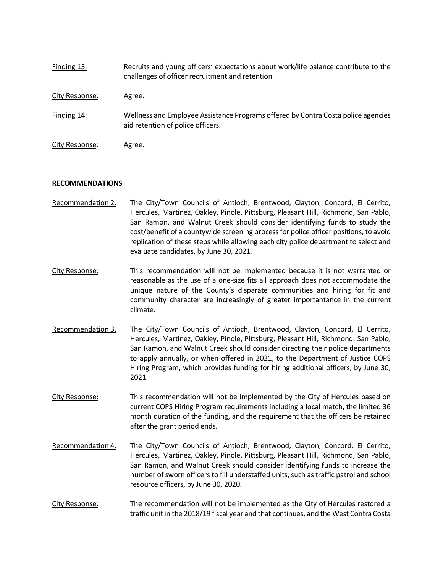| Finding 13:    | Recruits and young officers' expectations about work/life balance contribute to the<br>challenges of officer recruitment and retention. |
|----------------|-----------------------------------------------------------------------------------------------------------------------------------------|
| City Response: | Agree.                                                                                                                                  |
| Finding 14:    | Wellness and Employee Assistance Programs offered by Contra Costa police agencies<br>aid retention of police officers.                  |
| City Response: | Agree.                                                                                                                                  |

## **RECOMMENDATIONS**

- Recommendation 2. The City/Town Councils of Antioch, Brentwood, Clayton, Concord, El Cerrito, Hercules, Martinez, Oakley, Pinole, Pittsburg, Pleasant Hill, Richmond, San Pablo, San Ramon, and Walnut Creek should consider identifying funds to study the cost/benefit of a countywide screening process for police officer positions, to avoid replication of these steps while allowing each city police department to select and evaluate candidates, by June 30, 2021.
- City Response: This recommendation will not be implemented because it is not warranted or reasonable as the use of a one-size fits all approach does not accommodate the unique nature of the County's disparate communities and hiring for fit and community character are increasingly of greater importantance in the current climate.
- Recommendation 3. The City/Town Councils of Antioch, Brentwood, Clayton, Concord, El Cerrito, Hercules, Martinez, Oakley, Pinole, Pittsburg, Pleasant Hill, Richmond, San Pablo, San Ramon, and Walnut Creek should consider directing their police departments to apply annually, or when offered in 2021, to the Department of Justice COPS Hiring Program, which provides funding for hiring additional officers, by June 30, 2021.
- City Response: This recommendation will not be implemented by the City of Hercules based on current COPS Hiring Program requirements including a local match, the limited 36 month duration of the funding, and the requirement that the officers be retained after the grant period ends.
- Recommendation 4. The City/Town Councils of Antioch, Brentwood, Clayton, Concord, El Cerrito, Hercules, Martinez, Oakley, Pinole, Pittsburg, Pleasant Hill, Richmond, San Pablo, San Ramon, and Walnut Creek should consider identifying funds to increase the number of sworn officers to fill understaffed units, such as traffic patrol and school resource officers, by June 30, 2020.
- City Response: The recommendation will not be implemented as the City of Hercules restored a traffic unit in the 2018/19 fiscal year and that continues, and the West Contra Costa